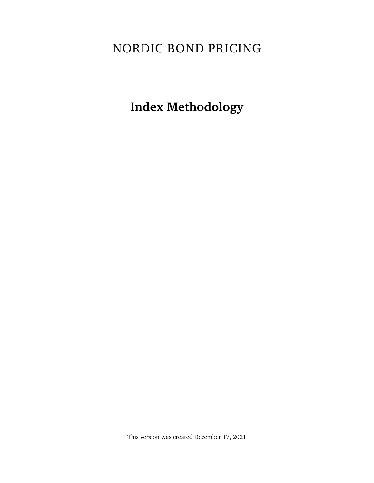# NORDIC BOND PRICING

**Index Methodology**

This version was created December 17, 2021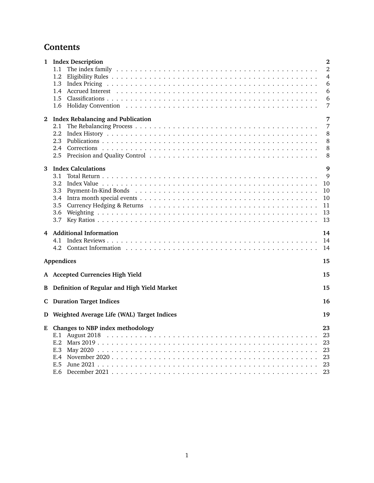# **Contents**

| 1            | <b>Index Description</b>                     | $\overline{2}$ |
|--------------|----------------------------------------------|----------------|
|              | 1.1                                          | $\overline{2}$ |
|              | 1.2                                          | $\overline{4}$ |
|              | 1.3                                          | 6              |
|              | 1.4                                          | 6              |
|              | 1.5                                          | 6              |
|              | 1.6                                          | 7              |
| $\mathbf{2}$ | <b>Index Rebalancing and Publication</b>     | 7              |
|              | 2.1                                          | 7              |
|              | $2.2\,$                                      | 8              |
|              | 2.3                                          | 8              |
|              | 2.4                                          | 8              |
|              | 2.5                                          | 8              |
|              |                                              |                |
| 3            | <b>Index Calculations</b>                    | 9              |
|              | 3.1                                          | 9              |
|              | 3.2                                          | 10             |
|              | 3.3                                          | 10             |
|              | 3.4                                          | 10             |
|              | 3.5                                          | 11             |
|              | 3.6                                          | 13             |
|              | 3.7                                          | 13             |
| 4            | <b>Additional Information</b>                | 14             |
|              | 4.1                                          | 14             |
|              | 4.2                                          | 14             |
|              |                                              |                |
|              | Appendices                                   | 15             |
|              | A Accepted Currencies High Yield             | 15             |
| B            | Definition of Regular and High Yield Market  | 15             |
| C.           | <b>Duration Target Indices</b>               | 16             |
|              | D Weighted Average Life (WAL) Target Indices | 19             |
| Е            | Changes to NBP index methodology             | 23             |
|              | E.1                                          | 23             |
|              | E.2                                          | 23             |
|              | E.3                                          | 23             |
|              | E.4                                          | 23             |
|              | E.5                                          | 23             |
|              | E.6                                          | 23             |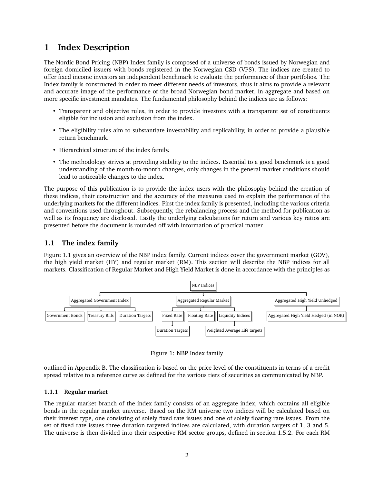# <span id="page-2-0"></span>**1 Index Description**

The Nordic Bond Pricing (NBP) Index family is composed of a universe of bonds issued by Norwegian and foreign domiciled issuers with bonds registered in the Norwegian CSD (VPS). The indices are created to offer fixed income investors an independent benchmark to evaluate the performance of their portfolios. The Index family is constructed in order to meet different needs of investors, thus it aims to provide a relevant and accurate image of the performance of the broad Norwegian bond market, in aggregate and based on more specific investment mandates. The fundamental philosophy behind the indices are as follows:

- Transparent and objective rules, in order to provide investors with a transparent set of constituents eligible for inclusion and exclusion from the index.
- The eligibility rules aim to substantiate investability and replicability, in order to provide a plausible return benchmark.
- Hierarchical structure of the index family.
- The methodology strives at providing stability to the indices. Essential to a good benchmark is a good understanding of the month-to-month changes, only changes in the general market conditions should lead to noticeable changes to the index.

The purpose of this publication is to provide the index users with the philosophy behind the creation of these indices, their construction and the accuracy of the measures used to explain the performance of the underlying markets for the different indices. First the index family is presented, including the various criteria and conventions used throughout. Subsequently, the rebalancing process and the method for publication as well as its frequency are disclosed. Lastly the underlying calculations for return and various key ratios are presented before the document is rounded off with information of practical matter.

# <span id="page-2-1"></span>**1.1 The index family**

Figure [1.1](#page-2-1) gives an overview of the NBP index family. Current indices cover the government market (GOV), the high yield market (HY) and regular market (RM). This section will describe the NBP indices for all markets. Classification of Regular Market and High Yield Market is done in accordance with the principles as



Figure 1: NBP Index family

outlined in Appendix [B.](#page-15-2) The classification is based on the price level of the constituents in terms of a credit spread relative to a reference curve as defined for the various tiers of securities as communicated by NBP.

### **1.1.1 Regular market**

The regular market branch of the index family consists of an aggregate index, which contains all eligible bonds in the regular market universe. Based on the RM universe two indices will be calculated based on their interest type, one consisting of solely fixed rate issues and one of solely floating rate issues. From the set of fixed rate issues three duration targeted indices are calculated, with duration targets of 1, 3 and 5. The universe is then divided into their respective RM sector groups, defined in section [1.5.2.](#page-7-3) For each RM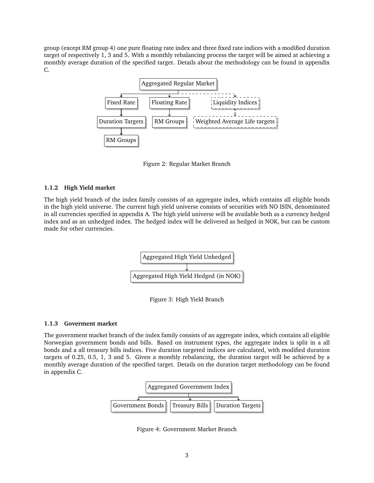group (except RM group 4) one pure floating rate index and three fixed rate indices with a modified duration target of respectively 1, 3 and 5. With a monthly rebalancing process the target will be aimed at achieving a monthly average duration of the specified target. Details about the methodology can be found in appendix [C.](#page-16-0)



Figure 2: Regular Market Branch

# **1.1.2 High Yield market**

The high yield branch of the index family consists of an aggregate index, which contains all eligible bonds in the high yield universe. The current high yield universe consists of securities with NO ISIN, denominated in all currencies specified in appendix [A.](#page-15-1) The high yield universe will be available both as a currency hedged index and as an unhedged index. The hedged index will be delivered as hedged in NOK, but can be custom made for other currencies.



Figure 3: High Yield Branch

# <span id="page-3-0"></span>**1.1.3 Goverment market**

The government market branch of the index family consists of an aggregate index, which contains all eligible Norwegian government bonds and bills. Based on instrument types, the aggregate index is split in a all bonds and a all treasury bills indices. Five duration targeted indices are calculated, with modified duration targets of 0.25, 0.5, 1, 3 and 5. Given a monthly rebalancing, the duration target will be achieved by a monthly average duration of the specified target. Details on the duration target methodology can be found in appendix [C.](#page-16-0)



Figure 4: Government Market Branch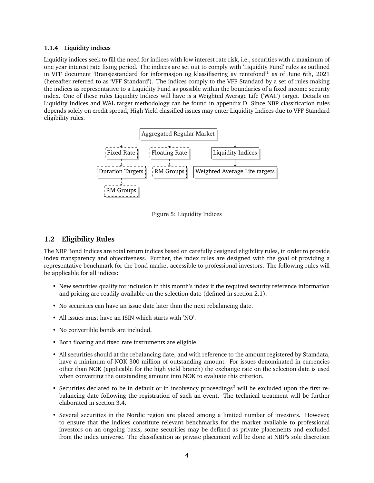#### <span id="page-4-1"></span>**1.1.4 Liquidity indices**

Liquidity indices seek to fill the need for indices with low interest rate risk, i.e., securities with a maximum of one year interest rate fixing period. The indices are set out to comply with 'Liquidity Fund' rules as outlined in VFF document 'Bransjestandard for informasjon og klassifisering av rentefond'<sup>1</sup> as of June 6th, 2021 (hereafter referred to as 'VFF Standard'). The indices comply to the VFF Standard by a set of rules making the indices as representative to a Liquidity Fund as possible within the boundaries of a fixed income security index. One of these rules Liquidity Indices will have is a Weighted Average Life ('WAL') target. Details on Liquidity Indices and WAL target methodology can be found in appendix [D.](#page-19-0) Since NBP classification rules depends solely on credit spread, High Yield classified issues may enter Liquidity Indices due to VFF Standard eligibility rules.



Figure 5: Liquidity Indices

# <span id="page-4-0"></span>**1.2 Eligibility Rules**

The NBP Bond Indices are total return indices based on carefully designed eligibility rules, in order to provide index transparency and objectiveness. Further, the index rules are designed with the goal of providing a representative benchmark for the bond market accessible to professional investors. The following rules will be applicable for all indices:

- New securities qualify for inclusion in this month's index if the required security reference information and pricing are readily available on the selection date (defined in section [2.1\)](#page-7-2).
- No securities can have an issue date later than the next rebalancing date.
- All issues must have an ISIN which starts with 'NO'.
- No convertible bonds are included.
- Both floating and fixed rate instruments are eligible.
- All securities should at the rebalancing date, and with reference to the amount registered by Stamdata, have a minimum of NOK 300 million of outstanding amount. For issues denominated in currencies other than NOK (applicable for the high yield branch) the exchange rate on the selection date is used when converting the outstanding amount into NOK to evaluate this criterion.
- Securities declared to be in default or in insolvency proceedings<sup>2</sup> will be excluded upon the first rebalancing date following the registration of such an event. The technical treatment will be further elaborated in section [3.4.](#page-10-2)
- Several securities in the Nordic region are placed among a limited number of investors. However, to ensure that the indices constitute relevant benchmarks for the market available to professional investors on an ongoing basis, some securities may be defined as private placements and excluded from the index universe. The classification as private placement will be done at NBP's sole discretion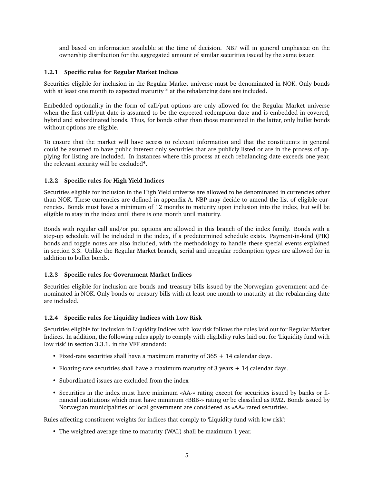and based on information available at the time of decision. NBP will in general emphasize on the ownership distribution for the aggregated amount of similar securities issued by the same issuer.

# **1.2.1 Specific rules for Regular Market Indices**

Securities eligible for inclusion in the Regular Market universe must be denominated in NOK. Only bonds with at least one month to expected maturity  $3$  at the rebalancing date are included.

Embedded optionality in the form of call/put options are only allowed for the Regular Market universe when the first call/put date is assumed to be the expected redemption date and is embedded in covered, hybrid and subordinated bonds. Thus, for bonds other than those mentioned in the latter, only bullet bonds without options are eligible.

To ensure that the market will have access to relevant information and that the constituents in general could be assumed to have public interest only securities that are publicly listed or are in the process of applying for listing are included. In instances where this process at each rebalancing date exceeds one year, the relevant security will be excluded<sup>4</sup>.

# **1.2.2 Specific rules for High Yield Indices**

Securities eligible for inclusion in the High Yield universe are allowed to be denominated in currencies other than NOK. These currencies are defined in appendix [A.](#page-15-1) NBP may decide to amend the list of eligible currencies. Bonds must have a minimum of 12 months to maturity upon inclusion into the index, but will be eligible to stay in the index until there is one month until maturity.

Bonds with regular call and/or put options are allowed in this branch of the index family. Bonds with a step-up schedule will be included in the index, if a predetermined schedule exists. Payment-in-kind (PIK) bonds and toggle notes are also included, with the methodology to handle these special events explained in section [3.3.](#page-10-1) Unlike the Regular Market branch, serial and irregular redemption types are allowed for in addition to bullet bonds.

### <span id="page-5-0"></span>**1.2.3 Specific rules for Government Market Indices**

Securities eligible for inclusion are bonds and treasury bills issued by the Norwegian government and denominated in NOK. Only bonds or treasury bills with at least one month to maturity at the rebalancing date are included.

### <span id="page-5-1"></span>**1.2.4 Specific rules for Liquidity Indices with Low Risk**

Securities eligible for inclusion in Liquidity Indices with low risk follows the rules laid out for Regular Market Indices. In addition, the following rules apply to comply with eligibility rules laid out for 'Liquidity fund with low risk' in section 3.3.1. in the VFF standard:

- Fixed-rate securities shall have a maximum maturity of 365 + 14 calendar days.
- Floating-rate securities shall have a maximum maturity of 3 years + 14 calendar days.
- Subordinated issues are excluded from the index
- Securities in the index must have minimum «AA-» rating except for securities issued by banks or financial institutions which must have minimum «BBB-» rating or be classified as RM2. Bonds issued by Norwegian municipalities or local government are considered as «AA» rated securities.

Rules affecting constituent weights for indices that comply to 'Liquidity fund with low risk':

• The weighted average time to maturity (WAL) shall be maximum 1 year.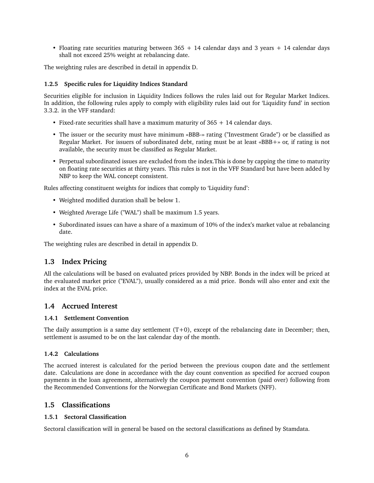• Floating rate securities maturing between  $365 + 14$  calendar days and 3 years  $+ 14$  calendar days shall not exceed 25% weight at rebalancing date.

The weighting rules are described in detail in appendix [D.](#page-19-0)

# <span id="page-6-4"></span>**1.2.5 Specific rules for Liquidity Indices Standard**

Securities eligible for inclusion in Liquidity Indices follows the rules laid out for Regular Market Indices. In addition, the following rules apply to comply with eligibility rules laid out for 'Liquidity fund' in section 3.3.2. in the VFF standard:

- Fixed-rate securities shall have a maximum maturity of 365 + 14 calendar days.
- The issuer or the security must have minimum «BBB-» rating ("Investment Grade") or be classified as Regular Market. For issuers of subordinated debt, rating must be at least «BBB+» or, if rating is not available, the security must be classified as Regular Market.
- Perpetual subordinated issues are excluded from the index.This is done by capping the time to maturity on floating rate securities at thirty years. This rules is not in the VFF Standard but have been added by NBP to keep the WAL concept consistent.

Rules affecting constituent weights for indices that comply to 'Liquidity fund':

- Weighted modified duration shall be below 1.
- Weighted Average Life ("WAL") shall be maximum 1.5 years.
- Subordinated issues can have a share of a maximum of 10% of the index's market value at rebalancing date.

The weighting rules are described in detail in appendix [D.](#page-19-0)

# <span id="page-6-0"></span>**1.3 Index Pricing**

All the calculations will be based on evaluated prices provided by NBP. Bonds in the index will be priced at the evaluated market price ("EVAL"), usually considered as a mid price. Bonds will also enter and exit the index at the EVAL price.

# <span id="page-6-1"></span>**1.4 Accrued Interest**

### **1.4.1 Settlement Convention**

The daily assumption is a same day settlement  $(T+0)$ , except of the rebalancing date in December; then, settlement is assumed to be on the last calendar day of the month.

### **1.4.2 Calculations**

The accrued interest is calculated for the period between the previous coupon date and the settlement date. Calculations are done in accordance with the day count convention as specified for accrued coupon payments in the loan agreement, alternatively the coupon payment convention (paid over) following from the Recommended Conventions for the Norwegian Certificate and Bond Markets (NFF).

# <span id="page-6-2"></span>**1.5 Classifications**

### <span id="page-6-3"></span>**1.5.1 Sectoral Classification**

Sectoral classification will in general be based on the sectoral classifications as defined by Stamdata.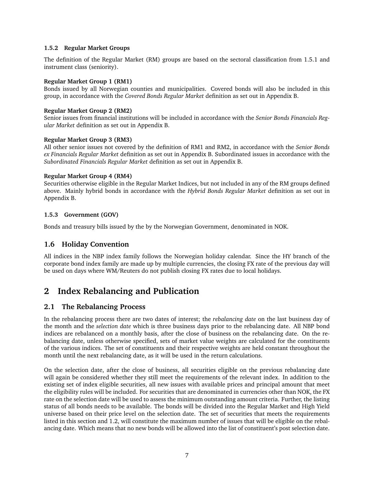# <span id="page-7-3"></span>**1.5.2 Regular Market Groups**

The definition of the Regular Market (RM) groups are based on the sectoral classification from [1.5.1](#page-6-3) and instrument class (seniority).

## **Regular Market Group 1 (RM1)**

Bonds issued by all Norwegian counties and municipalities. Covered bonds will also be included in this group, in accordance with the *Covered Bonds Regular Market* definition as set out in Appendix [B.](#page-15-2)

# **Regular Market Group 2 (RM2)**

Senior issues from financial institutions will be included in accordance with the *Senior Bonds Financials Regular Market* definition as set out in Appendix [B.](#page-15-2)

### **Regular Market Group 3 (RM3)**

All other senior issues not covered by the definition of RM1 and RM2, in accordance with the *Senior Bonds ex Financials Regular Market* definition as set out in Appendix [B.](#page-15-2) Subordinated issues in accordance with the *Subordinated Financials Regular Market* definition as set out in Appendix [B.](#page-15-2)

# **Regular Market Group 4 (RM4)**

Securities otherwise eligible in the Regular Market Indices, but not included in any of the RM groups defined above. Mainly hybrid bonds in accordance with the *Hybrid Bonds Regular Market* definition as set out in Appendix [B.](#page-15-2)

# **1.5.3 Government (GOV)**

Bonds and treasury bills issued by the by the Norwegian Government, denominated in NOK.

# <span id="page-7-0"></span>**1.6 Holiday Convention**

All indices in the NBP index family follows the Norwegian holiday calendar. Since the HY branch of the corporate bond index family are made up by multiple currencies, the closing FX rate of the previous day will be used on days where WM/Reuters do not publish closing FX rates due to local holidays.

# <span id="page-7-1"></span>**2 Index Rebalancing and Publication**

# <span id="page-7-2"></span>**2.1 The Rebalancing Process**

In the rebalancing process there are two dates of interest; the *rebalancing date* on the last business day of the month and the *selection date* which is three business days prior to the rebalancing date. All NBP bond indices are rebalanced on a monthly basis, after the close of business on the rebalancing date. On the rebalancing date, unless otherwise specified, sets of market value weights are calculated for the constituents of the various indices. The set of constituents and their respective weights are held constant throughout the month until the next rebalancing date, as it will be used in the return calculations.

On the selection date, after the close of business, all securities eligible on the previous rebalancing date will again be considered whether they still meet the requirements of the relevant index. In addition to the existing set of index eligible securities, all new issues with available prices and principal amount that meet the eligibility rules will be included. For securities that are denominated in currencies other than NOK, the FX rate on the selection date will be used to assess the minimum outstanding amount criteria. Further, the listing status of all bonds needs to be available. The bonds will be divided into the Regular Market and High Yield universe based on their price level on the selection date. The set of securities that meets the requirements listed in this section and [1.2,](#page-4-0) will constitute the maximum number of issues that will be eligible on the rebalancing date. Which means that no new bonds will be allowed into the list of constituent's post selection date.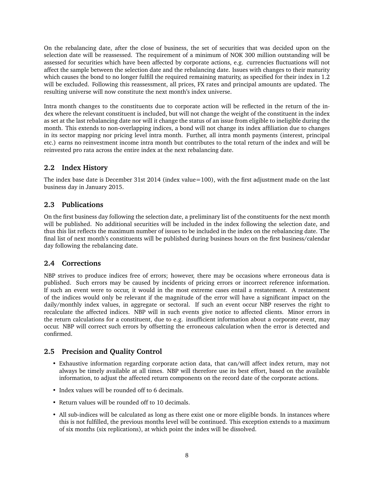On the rebalancing date, after the close of business, the set of securities that was decided upon on the selection date will be reassessed. The requirement of a minimum of NOK 300 million outstanding will be assessed for securities which have been affected by corporate actions, e.g. currencies fluctuations will not affect the sample between the selection date and the rebalancing date. Issues with changes to their maturity which causes the bond to no longer fulfill the required remaining maturity, as specified for their index in [1.2](#page-4-0) will be excluded. Following this reassessment, all prices, FX rates and principal amounts are updated. The resulting universe will now constitute the next month's index universe.

Intra month changes to the constituents due to corporate action will be reflected in the return of the index where the relevant constituent is included, but will not change the weight of the constituent in the index as set at the last rebalancing date nor will it change the status of an issue from eligible to ineligible during the month. This extends to non-overlapping indices, a bond will not change its index affiliation due to changes in its sector mapping nor pricing level intra month. Further, all intra month payments (interest, principal etc.) earns no reinvestment income intra month but contributes to the total return of the index and will be reinvested pro rata across the entire index at the next rebalancing date.

# <span id="page-8-0"></span>**2.2 Index History**

The index base date is December 31st 2014 (index value=100), with the first adjustment made on the last business day in January 2015.

# <span id="page-8-1"></span>**2.3 Publications**

On the first business day following the selection date, a preliminary list of the constituents for the next month will be published. No additional securities will be included in the index following the selection date, and thus this list reflects the maximum number of issues to be included in the index on the rebalancing date. The final list of next month's constituents will be published during business hours on the first business/calendar day following the rebalancing date.

# <span id="page-8-2"></span>**2.4 Corrections**

NBP strives to produce indices free of errors; however, there may be occasions where erroneous data is published. Such errors may be caused by incidents of pricing errors or incorrect reference information. If such an event were to occur, it would in the most extreme cases entail a restatement. A restatement of the indices would only be relevant if the magnitude of the error will have a significant impact on the daily/monthly index values, in aggregate or sectoral. If such an event occur NBP reserves the right to recalculate the affected indices. NBP will in such events give notice to affected clients. Minor errors in the return calculations for a constituent, due to e.g. insufficient information about a corporate event, may occur. NBP will correct such errors by offsetting the erroneous calculation when the error is detected and confirmed.

# <span id="page-8-3"></span>**2.5 Precision and Quality Control**

- Exhaustive information regarding corporate action data, that can/will affect index return, may not always be timely available at all times. NBP will therefore use its best effort, based on the available information, to adjust the affected return components on the record date of the corporate actions.
- Index values will be rounded off to 6 decimals.
- Return values will be rounded off to 10 decimals.
- All sub-indices will be calculated as long as there exist one or more eligible bonds. In instances where this is not fulfilled, the previous months level will be continued. This exception extends to a maximum of six months (six replications), at which point the index will be dissolved.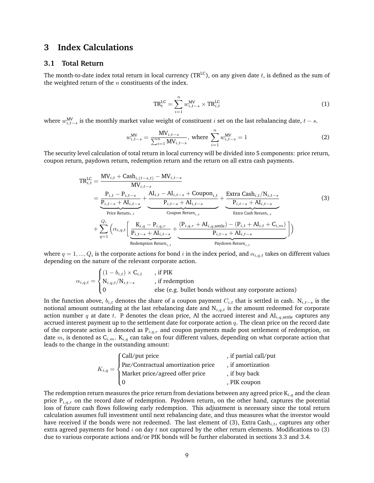# <span id="page-9-0"></span>**3 Index Calculations**

# <span id="page-9-1"></span>**3.1 Total Return**

The month-to-date index total return in local currency (TR<sup>LC</sup>), on any given date t, is defined as the sum of the weighted return of the  $n$  constituents of the index.

<span id="page-9-3"></span><span id="page-9-2"></span>
$$
TR_t^{LC} = \sum_{i=1}^n w_{i,t-s}^{MV} \times TR_{i,t}^{LC}
$$
 (1)

where  $w_{i,t-s}^{\text{MV}}$  is the monthly market value weight of constituent *i* set on the last rebalancing date,  $t - s$ .

$$
w_{i,t-s}^{\text{MV}} = \frac{\text{MV}_{i,t-s}}{\sum_{i=1}^{n} \text{MV}_{i,t-s}}, \text{ where } \sum_{i=1}^{n} w_{i,t-s}^{\text{MV}} = 1
$$
 (2)

The security level calculation of total return in local currency will be divided into 5 components: price return, coupon return, paydown return, redemption return and the return on all extra cash payments.

$$
TR_{i,t}^{LC} = \frac{MV_{i,t} + Cash_{i,(t-s,t)} - MV_{i,t-s}}{MV_{i,t-s}} = \underbrace{\frac{P_{i,t} - P_{i,t-s}}{P_{i,t-s} + AI_{i,t-s}} + \underbrace{\frac{AI_{i,t} - AI_{i,t-s} + Coupon_{i,t}}{P_{i,t-s} + AI_{i,t-s}}}_{\text{Price Return}_{i,t}} + \underbrace{\frac{P_{i,t} - P_{i,t-s}}{P_{i,t-s} + AI_{i,t-s}}}_{\text{Ceumann}_{i,t}} + \underbrace{\frac{Q_i}{P_{i,t-s} + AI_{i,t-s}}}_{\text{Redemption Return}_{i,t}} + \underbrace{\frac{(P_{i,q,r} - P_{i,q,r})}{P_{i,q,r} + AI_{i,q,\text{settle}}}_{P_{i,t-s} + AI_{i,t-s}} - (P_{i,t} + AI_{i,t} + C_{i,m})}_{\text{Paydown Return}_{i,t}}}_{\text{Paydown Return}_{i,t}} \n\tag{3}
$$

where  $q=1,...,Q_i$  is the corporate actions for bond  $i$  in the index period, and  $\alpha_{i,q,t}$  takes on different values depending on the nature of the relevant corporate action.

$$
\alpha_{i,q,t} = \begin{cases}\n(1 - b_{i,t}) \times \mathsf{C}_{i,t} & , \text{ if } \text{PIK} \\
\mathsf{N}_{i,q,t} / \mathsf{N}_{i,t-s} & , \text{ if } \text{redemption} \\
0 & \text{ else (e.g. bullet bonds without any corporate actions)}\n\end{cases}
$$

In the function above,  $b_{i,t}$  denotes the share of a coupon payment  $C_{i,t}$  that is settled in cash. N<sub>i,t−s</sub> is the notional amount outstanding at the last rebalancing date and  $N_{i,q,t}$  is the amount redeemed for corporate action number q at date t. P denotes the clean price, AI the accrued interest and  $AI<sub>i,q,settle</sub>$  captures any accrued interest payment up to the settlement date for corporate action  $q$ . The clean price on the record date of the corporate action is denoted as  $P_{i,q,r}$  and coupon payments made post settlement of redemption, on date m, is denoted as  $C_{i,m}$ .  $K_{i,q}$  can take on four different values, depending on what corporate action that leads to the change in the outstanding amount:

$$
K_{i,q} = \begin{cases} \text{Call/put price} & \text{, if partial call/put} \\ \text{Par/Contractual annotation price} & \text{, if amortization} \\ \text{Market price/agreed offer price} & \text{, if buy back} \\ 0 & \text{, PIK coupon} \end{cases}
$$

The redemption return measures the price return from deviations between any agreed price  $K_{i,q}$  and the clean price  $P_{i,q,r}$  on the record date of redemption. Paydown return, on the other hand, captures the potential loss of future cash flows following early redemption. This adjustment is necessary since the total return calculation assumes full investment until next rebalancing date, and thus measures what the investor would have received if the bonds were not redeemed. The last element of [\(3\)](#page-9-2), Extra Cash $_{i,t}$ , captures any other extra agreed payments for bond i on day t not captured by the other return elements. Modifications to  $(3)$ due to various corporate actions and/or PIK bonds will be further elaborated in sections [3.3](#page-10-1) and [3.4.](#page-10-2)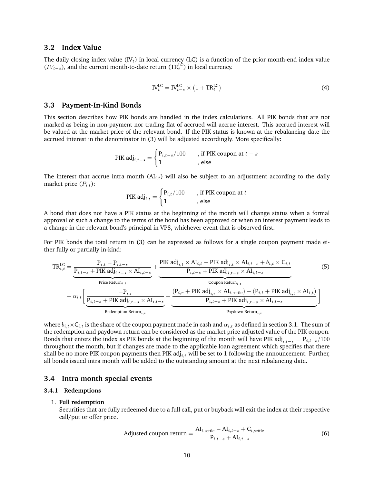# <span id="page-10-0"></span>**3.2 Index Value**

The daily closing index value  $(IV_t)$  in local currency (LC) is a function of the prior month-end index value  $(IV_{t-s})$ , and the current month-to-date return (TR<sup>LC</sup>) in local currency.

<span id="page-10-3"></span>
$$
IV_t^{LC} = IV_{t-s}^{LC} \times \left(1 + TR_t^{LC}\right)
$$
 (4)

#### <span id="page-10-1"></span>**3.3 Payment-In-Kind Bonds**

This section describes how PIK bonds are handled in the index calculations. All PIK bonds that are not marked as being in non-payment nor trading flat of accrued will accrue interest. This accrued interest will be valued at the market price of the relevant bond. If the PIK status is known at the rebalancing date the accrued interest in the denominator in [\(3\)](#page-9-2) will be adjusted accordingly. More specifically:

PIK adj<sub>i,t-s</sub> = 
$$
\begin{cases} P_{i,t-s}/100, & \text{if PIK coupon at } t-s \\ 1, & \text{else} \end{cases}
$$

The interest that accrue intra month  $(A_{i,t})$  will also be subject to an adjustment according to the daily market price  $(P_{i,t})$ :

PIK adj<sub>i,t</sub> = 
$$
\begin{cases} P_{i,t}/100 & , \text{if PIK coupon at } t \\ 1 & , \text{else} \end{cases}
$$

A bond that does not have a PIK status at the beginning of the month will change status when a formal approval of such a change to the terms of the bond has been approved or when an interest payment leads to a change in the relevant bond's principal in VPS, whichever event that is observed first.

For PIK bonds the total return in [\(3\)](#page-9-2) can be expressed as follows for a single coupon payment made either fully or partially in-kind:

$$
TR_{i,t}^{LC} = \underbrace{\frac{P_{i,t} - P_{i,t-s}}{P_{i,t-s} + PIK \text{ adj}_{i,t-s} \times AI_{i,t-s}}}_{\text{Price Return}_{i,t}} + \underbrace{\frac{PIK \text{ adj}_{i,t} \times AI_{i,t} - PIK \text{ adj}_{i,t} \times AI_{i,t-s} + b_{i,t} \times C_{i,t}}{P_{i,t-s} + PIK \text{ adj}_{i,t-s} \times AI_{i,t-s}}}_{\text{Coupon Return}_{i,t}} \tag{5}
$$
\n
$$
+ \alpha_{i,t} \left[ \underbrace{\frac{-P_{i,r}}{P_{i,t-s} + PIK \text{ adj}_{i,t-s} \times AI_{i,t-s}}}_{\text{Redemption Return}_{i,t}} + \underbrace{\frac{(P_{i,r} + PIK \text{ adj}_{i,r} \times AI_{i,t-s} - P_{i,t} + PIK \text{ adj}_{i,t} \times AI_{i,t})}{P_{i,t-s} + PIK \text{ adj}_{i,t-s} \times AI_{i,t-s}}}_{\text{Paydown Return}_{i,t}} \right]
$$

where  $b_{i,t} \times C_{i,t}$  is the share of the coupon payment made in cash and  $\alpha_{i,t}$  as defined in section [3.1.](#page-9-1) The sum of the redemption and paydown return can be considered as the market price adjusted value of the PIK coupon. Bonds that enters the index as PIK bonds at the beginning of the month will have PIK adj<sub>it–s</sub> = P<sub>i,t−s</sub>/100 throughout the month, but if changes are made to the applicable loan agreement which specifies that there shall be no more PIK coupon payments then PIK adj<sub>it</sub> will be set to 1 following the announcement. Further, all bonds issued intra month will be added to the outstanding amount at the next rebalancing date.

# <span id="page-10-2"></span>**3.4 Intra month special events**

#### **3.4.1 Redemptions**

#### 1. **Full redemption**

Securities that are fully redeemed due to a full call, put or buyback will exit the index at their respective call/put or offer price.

Adjusted coupon return =

\n
$$
\frac{AI_{i,settle} - AI_{i,t-s} + C_{i,settle}}{P_{i,t-s} + AI_{i,t-s}}
$$
\n(6)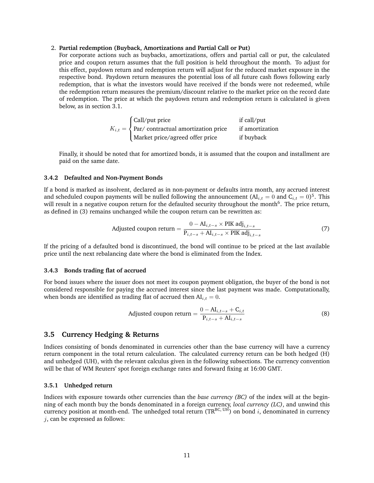#### 2. **Partial redemption (Buyback, Amortizations and Partial Call or Put)**

For corporate actions such as buybacks, amortizations, offers and partial call or put, the calculated price and coupon return assumes that the full position is held throughout the month. To adjust for this effect, paydown return and redemption return will adjust for the reduced market exposure in the respective bond. Paydown return measures the potential loss of all future cash flows following early redemption, that is what the investors would have received if the bonds were not redeemed, while the redemption return measures the premium/discount relative to the market price on the record date of redemption. The price at which the paydown return and redemption return is calculated is given below, as in section [3.1.](#page-9-1)

| Call/put price                                                                                | if call/put     |
|-----------------------------------------------------------------------------------------------|-----------------|
| $K_{i,t} = \left\{ \frac{\text{Par}}{\text{control}} \right\}$ contractual amortization price | if amortization |
| Market price/agreed offer price                                                               | if buyback      |

Finally, it should be noted that for amortized bonds, it is assumed that the coupon and installment are paid on the same date.

#### **3.4.2 Defaulted and Non-Payment Bonds**

If a bond is marked as insolvent, declared as in non-payment or defaults intra month, any accrued interest and scheduled coupon payments will be nulled following the announcement (AI<sub>i,t</sub> = 0 and  $C_{i,t} = 0$ )<sup>5</sup>. This will result in a negative coupon return for the defaulted security throughout the month<sup>6</sup>. The price return, as defined in [\(3\)](#page-9-2) remains unchanged while the coupon return can be rewritten as:

Adjusted coupon return =

\n
$$
\frac{0 - AI_{i,t-s} \times \text{PIK adj}_{i,t-s}}{P_{i,t-s} + AI_{i,t-s} \times \text{PIK adj}_{i,t-s}}
$$
\n(7)

If the pricing of a defaulted bond is discontinued, the bond will continue to be priced at the last available price until the next rebalancing date where the bond is eliminated from the Index.

#### **3.4.3 Bonds trading flat of accrued**

For bond issues where the issuer does not meet its coupon payment obligation, the buyer of the bond is not considered responsible for paying the accrued interest since the last payment was made. Computationally, when bonds are identified as trading flat of accrued then  $AI_{i,t} = 0$ .

Adjusted coupon return =

\n
$$
\frac{0 - AI_{i,t-s} + C_{i,t}}{P_{i,t-s} + AI_{i,t-s}}
$$
\n(8)

### <span id="page-11-0"></span>**3.5 Currency Hedging & Returns**

Indices consisting of bonds denominated in currencies other than the base currency will have a currency return component in the total return calculation. The calculated currency return can be both hedged (H) and unhedged (UH), with the relevant calculus given in the following subsections. The currency convention will be that of WM Reuters' spot foreign exchange rates and forward fixing at 16:00 GMT.

#### **3.5.1 Unhedged return**

Indices with exposure towards other currencies than the *base currency (BC)* of the index will at the beginning of each month buy the bonds denominated in a foreign currency, *local currency (LC)*, and unwind this currency position at month-end. The unhedged total return  $(TR^{BC, UH})$  on bond i, denominated in currency  $j$ , can be expressed as follows: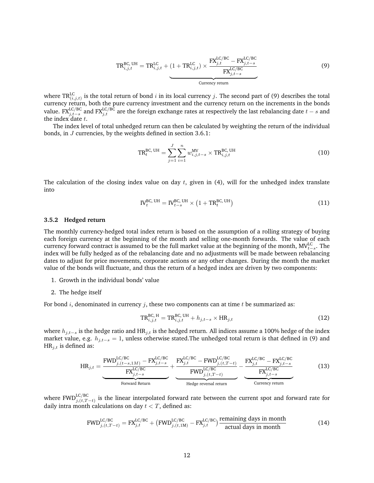$$
TR_{i,j,t}^{BC, \text{ UH}} = TR_{i,j,t}^{LC} + (1 + TR_{i,j,t}^{LC}) \times \frac{FX_{j,t}^{LC/BC} - FX_{j,t-s}^{LC/BC}}{FX_{j,t-s}^{LC/BC}}
$$
(9)

where TR $_{(i,j,t)}^{\text{LC}}$  is the total return of bond  $i$  in its local currency  $j$ . The second part of [\(9\)](#page-12-0) describes the total currency return, both the pure currency investment and the currency return on the increments in the bonds value. FX $_{j,t-s}^{\rm LC/BC}$  and FX $_{j,t}^{\rm LC/BC}$  are the foreign exchange rates at respectively the last rebalancing date  $t-s$  and the index date  $t$ .

The index level of total unhedged return can then be calculated by weighting the return of the individual bonds, in J currencies, by the weights defined in section [3.6.1:](#page-13-2)

<span id="page-12-0"></span>
$$
TR_t^{BC, \text{ UH}} = \sum_{j=1}^{J} \sum_{i=1}^{n} w_{i,j,t-s}^{MV} \times TR_{i,j,t}^{BC, \text{ UH}}
$$
 (10)

The calculation of the closing index value on day  $t$ , given in  $(4)$ , will for the unhedged index translate into

$$
\mathbf{IV}_{t}^{\text{BC, UH}} = \mathbf{IV}_{t-s}^{\text{BC, UH}} \times \left(1 + \mathbf{T} \mathbf{R}_{t}^{\text{BC, UH}}\right)
$$
\n(11)

#### **3.5.2 Hedged return**

The monthly currency-hedged total index return is based on the assumption of a rolling strategy of buying each foreign currency at the beginning of the month and selling one-month forwards. The value of each currency forward contract is assumed to be the full market value at the beginning of the month,  $\text{MV}^{\text{LC}}_{t-s}.$  The index will be fully hedged as of the rebalancing date and no adjustments will be made between rebalancing dates to adjust for price movements, corporate actions or any other changes. During the month the market value of the bonds will fluctuate, and thus the return of a hedged index are driven by two components:

- 1. Growth in the individual bonds' value
- 2. The hedge itself

For bond  $i$ , denominated in currency  $j$ , these two components can at time  $t$  be summarized as:

$$
TR_{i,j,t}^{BC, H} = TR_{i,j,t}^{BC, UH} + h_{j,t-s} \times HR_{j,t}
$$
\n(12)

where  $h_{j,t-s}$  is the hedge ratio and HR<sub>j,t</sub> is the hedged return. All indices assume a 100% hedge of the index market value, e.g.  $h_{j,t-s} = 1$ , unless otherwise stated.The unhedged total return is that defined in [\(9\)](#page-12-0) and HR $_{i,t}$  is defined as:

HR<sub>j,t</sub> = 
$$
\underbrace{\frac{\text{FWD}_{j,(t-s,1M)}^{\text{LC/BC}} - \text{FX}_{j,t-s}^{\text{LC/BC}}}{\text{FX}_{j,t-s}^{\text{LC/BC}}} + \underbrace{\frac{\text{FX}_{j,t}^{\text{LC/BC}} - \text{FWD}_{j,(t,T-t)}^{\text{LC/BC}}}{\text{FWD}_{j,(t,T-t)}^{\text{LC/BC}}} - \underbrace{\frac{\text{FX}_{j,t}^{\text{LC/BC}} - \text{FX}_{j,t-s}^{\text{LC/BC}}}{\text{FX}_{j,t-s}^{\text{LC/BC}}} }_{\text{Current}
$$
(13)

where  $FWD_{j,(t,T-t)}^{\rm LC/BC}$  is the linear interpolated forward rate between the current spot and forward rate for daily intra month calculations on day  $t < T$ , defined as:

$$
\text{FWD}_{j,(t,T-t)}^{\text{LC/BC}} = \text{FX}_{j,t}^{\text{LC/BC}} + \left(\text{FWD}_{j,(t,1\text{M})}^{\text{LC/BC}} - \text{FX}_{j,t}^{\text{LC/BC}}\right) \frac{\text{remaining days in month}}{\text{actual days in month}} \tag{14}
$$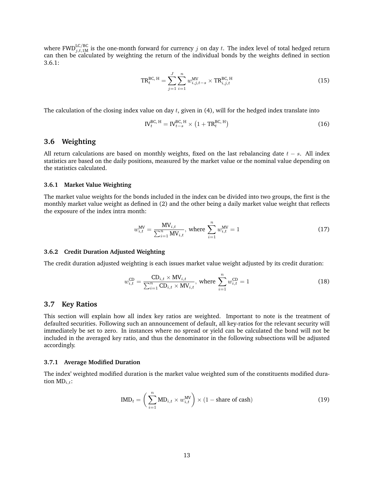where FWD $_{j,t,1\text{M}}^{\text{LC/BC}}$  is the one-month forward for currency  $j$  on day  $t.$  The index level of total hedged return can then be calculated by weighting the return of the individual bonds by the weights defined in section [3.6.1:](#page-13-2)

$$
TR_t^{BC, H} = \sum_{j=1}^{J} \sum_{i=1}^{n} w_{i,j,t-s}^{MV} \times TR_{i,j,t}^{BC, H}
$$
 (15)

The calculation of the closing index value on day  $t$ , given in  $(4)$ , will for the hedged index translate into

$$
IV_{t}^{BC, H} = IV_{t-s}^{BC, H} \times (1 + TR_{t}^{BC, H})
$$
\n(16)

# <span id="page-13-0"></span>**3.6 Weighting**

All return calculations are based on monthly weights, fixed on the last rebalancing date  $t - s$ . All index statistics are based on the daily positions, measured by the market value or the nominal value depending on the statistics calculated.

#### <span id="page-13-2"></span>**3.6.1 Market Value Weighting**

The market value weights for the bonds included in the index can be divided into two groups, the first is the monthly market value weight as defined in [\(2\)](#page-9-3) and the other being a daily market value weight that reflects the exposure of the index intra month:

$$
w_{i,t}^{\text{MV}} = \frac{\text{MV}_{i,t}}{\sum_{i=1}^{n} \text{MV}_{i,t}}, \text{ where } \sum_{i=1}^{n} w_{i,t}^{\text{MV}} = 1
$$
 (17)

#### **3.6.2 Credit Duration Adjusted Weighting**

The credit duration adjusted weighting is each issues market value weight adjusted by its credit duration:

$$
w_{i,t}^{\text{CD}} = \frac{\text{CD}_{i,t} \times \text{MV}_{i,t}}{\sum_{i=1}^{n} \text{CD}_{i,t} \times \text{MV}_{i,t}}, \text{ where } \sum_{i=1}^{n} w_{i,t}^{\text{CD}} = 1
$$
 (18)

# <span id="page-13-1"></span>**3.7 Key Ratios**

This section will explain how all index key ratios are weighted. Important to note is the treatment of defaulted securities. Following such an announcement of default, all key-ratios for the relevant security will immediately be set to zero. In instances where no spread or yield can be calculated the bond will not be included in the averaged key ratio, and thus the denominator in the following subsections will be adjusted accordingly.

#### **3.7.1 Average Modified Duration**

The index' weighted modified duration is the market value weighted sum of the constituents modified duration  $MD_{i,t}$ :

$$
IMDt = \left(\sum_{i=1}^{n} MD_{i,t} \times w_{i,t}^{MV}\right) \times (1 - \text{share of cash})
$$
 (19)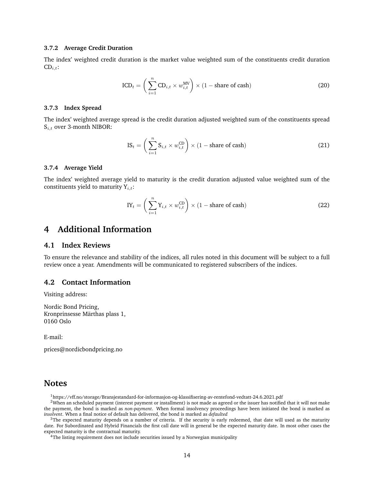#### **3.7.2 Average Credit Duration**

The index' weighted credit duration is the market value weighted sum of the constituents credit duration  $CD_{i,t}$ :

$$
\text{ICD}_{t} = \left(\sum_{i=1}^{n} \text{CD}_{i,t} \times w_{i,t}^{\text{MV}}\right) \times (1 - \text{share of cash})
$$
 (20)

#### **3.7.3 Index Spread**

The index' weighted average spread is the credit duration adjusted weighted sum of the constituents spread  $S_{i,t}$  over 3-month NIBOR:

$$
IS_t = \left(\sum_{i=1}^n S_{i,t} \times w_{i,t}^{CD}\right) \times (1 - \text{share of cash})
$$
 (21)

#### **3.7.4 Average Yield**

The index' weighted average yield to maturity is the credit duration adjusted value weighted sum of the constituents yield to maturity  $Y_{i,t}$ :

$$
IY_t = \left(\sum_{i=1}^n Y_{i,t} \times w_{i,t}^{\text{CD}}\right) \times (1 - \text{share of cash})
$$
 (22)

# <span id="page-14-0"></span>**4 Additional Information**

# <span id="page-14-1"></span>**4.1 Index Reviews**

To ensure the relevance and stability of the indices, all rules noted in this document will be subject to a full review once a year. Amendments will be communicated to registered subscribers of the indices.

#### <span id="page-14-2"></span>**4.2 Contact Information**

Visiting address:

Nordic Bond Pricing, Kronprinsesse Märthas plass 1, 0160 Oslo

E-mail:

[prices@nordicbondpricing.no](mailto:Prices@nordicbondpricing.no)

# **Notes**

<sup>1</sup>https://vff.no/storage/Bransjestandard-for-informasjon-og-klassifisering-av-rentefond-vedtatt-24.6.2021.pdf

 $2$ When an scheduled payment (interest payment or installment) is not made as agreed or the issuer has notified that it will not make the payment, the bond is marked as *non-payment*. When formal insolvency proceedings have been initiated the bond is marked as *insolvent*. When a final notice of default has delivered, the bond is marked as *defaulted*

<sup>&</sup>lt;sup>3</sup>The expected maturity depends on a number of criteria. If the security is early redeemed, that date will used as the maturity date. For Subordinated and Hybrid Financials the first call date will in general be the expected maturity date. In most other cases the expected maturity is the contractual maturity.

<sup>&</sup>lt;sup>4</sup>The listing requirement does not include securities issued by a Norwegian municipality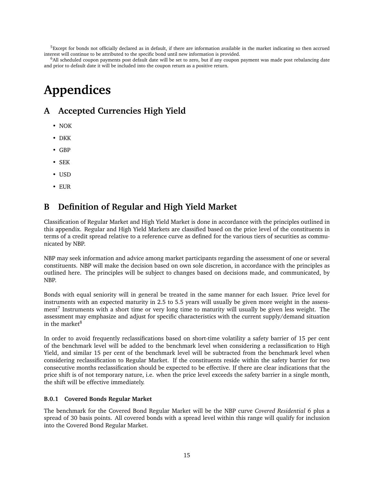${}^{5}$ Except for bonds not officially declared as in default, if there are information available in the market indicating so then accrued interest will continue to be attributed to the specific bond until new information is provided.

<sup>6</sup>All scheduled coupon payments post default date will be set to zero, but if any coupon payment was made post rebalancing date and prior to default date it will be included into the coupon return as a positive return.

# **Appendices**

# <span id="page-15-1"></span><span id="page-15-0"></span>**A Accepted Currencies High Yield**

- NOK
- DKK
- GBP
- SEK
- USD
- EUR

# <span id="page-15-2"></span>**B Definition of Regular and High Yield Market**

Classification of Regular Market and High Yield Market is done in accordance with the principles outlined in this appendix. Regular and High Yield Markets are classified based on the price level of the constituents in terms of a credit spread relative to a reference curve as defined for the various tiers of securities as communicated by NBP.

NBP may seek information and advice among market participants regarding the assessment of one or several constituents. NBP will make the decision based on own sole discretion, in accordance with the principles as outlined here. The principles will be subject to changes based on decisions made, and communicated, by NBP.

Bonds with equal seniority will in general be treated in the same manner for each Issuer. Price level for instruments with an expected maturity in 2.5 to 5.5 years will usually be given more weight in the assessment<sup>7</sup> Instruments with a short time or very long time to maturity will usually be given less weight. The assessment may emphasize and adjust for specific characteristics with the current supply/demand situation in the market $8$ 

In order to avoid frequently reclassifications based on short-time volatility a safety barrier of 15 per cent of the benchmark level will be added to the benchmark level when considering a reclassification to High Yield, and similar 15 per cent of the benchmark level will be subtracted from the benchmark level when considering reclassification to Regular Market. If the constituents reside within the safety barrier for two consecutive months reclassification should be expected to be effective. If there are clear indications that the price shift is of not temporary nature, i.e. when the price level exceeds the safety barrier in a single month, the shift will be effective immediately.

# **B.0.1 Covered Bonds Regular Market**

The benchmark for the Covered Bond Regular Market will be the NBP curve *Covered Residential 6* plus a spread of 30 basis points. All covered bonds with a spread level within this range will qualify for inclusion into the Covered Bond Regular Market.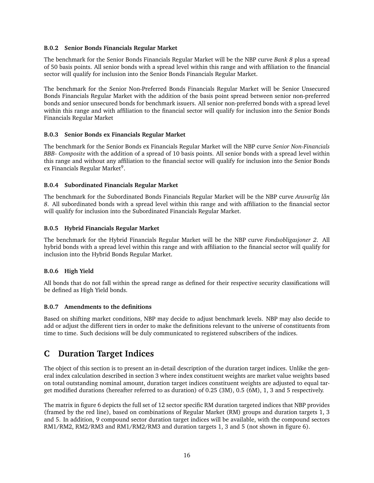### <span id="page-16-1"></span>**B.0.2 Senior Bonds Financials Regular Market**

The benchmark for the Senior Bonds Financials Regular Market will be the NBP curve *Bank 8* plus a spread of 50 basis points. All senior bonds with a spread level within this range and with affiliation to the financial sector will qualify for inclusion into the Senior Bonds Financials Regular Market.

The benchmark for the Senior Non-Preferred Bonds Financials Regular Market will be Senior Unsecured Bonds Financials Regular Market with the addition of the basis point spread between senior non-preferred bonds and senior unsecured bonds for benchmark issuers. All senior non-preferred bonds with a spread level within this range and with affiliation to the financial sector will qualify for inclusion into the Senior Bonds Financials Regular Market

### <span id="page-16-2"></span>**B.0.3 Senior Bonds ex Financials Regular Market**

The benchmark for the Senior Bonds ex Financials Regular Market will the NBP curve *Senior Non-Financials BBB- Composite* with the addition of a spread of 10 basis points. All senior bonds with a spread level within this range and without any affiliation to the financial sector will qualify for inclusion into the Senior Bonds ex Financials Regular Market<sup>9</sup>.

#### **B.0.4 Subordinated Financials Regular Market**

The benchmark for the Subordinated Bonds Financials Regular Market will be the NBP curve *Ansvarlig lån 8*. All subordinated bonds with a spread level within this range and with affiliation to the financial sector will qualify for inclusion into the Subordinated Financials Regular Market.

#### **B.0.5 Hybrid Financials Regular Market**

The benchmark for the Hybrid Financials Regular Market will be the NBP curve *Fondsobligasjoner 2*. All hybrid bonds with a spread level within this range and with affiliation to the financial sector will qualify for inclusion into the Hybrid Bonds Regular Market.

### **B.0.6 High Yield**

All bonds that do not fall within the spread range as defined for their respective security classifications will be defined as High Yield bonds.

#### **B.0.7 Amendments to the definitions**

Based on shifting market conditions, NBP may decide to adjust benchmark levels. NBP may also decide to add or adjust the different tiers in order to make the definitions relevant to the universe of constituents from time to time. Such decisions will be duly communicated to registered subscribers of the indices.

# <span id="page-16-0"></span>**C Duration Target Indices**

The object of this section is to present an in-detail description of the duration target indices. Unlike the general index calculation described in section 3 where index constituent weights are market value weights based on total outstanding nominal amount, duration target indices constituent weights are adjusted to equal target modified durations (hereafter referred to as duration) of 0.25 (3M), 0.5 (6M), 1, 3 and 5 respectively.

The matrix in figure [6](#page-17-0) depicts the full set of 12 sector specific RM duration targeted indices that NBP provides (framed by the red line), based on combinations of Regular Market (RM) groups and duration targets 1, 3 and 5. In addition, 9 compound sector duration target indices will be available, with the compound sectors RM1/RM2, RM2/RM3 and RM1/RM2/RM3 and duration targets 1, 3 and 5 (not shown in figure [6\)](#page-17-0).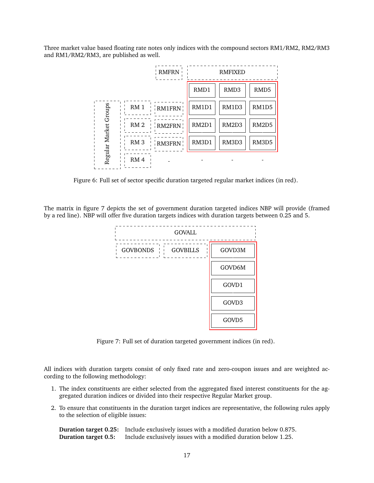Three market value based floating rate notes only indices with the compound sectors RM1/RM2, RM2/RM3 and RM1/RM2/RM3, are published as well.

|  |                                                             | <b>RMFRN</b> | <b>RMFIXED</b> |       |       |
|--|-------------------------------------------------------------|--------------|----------------|-------|-------|
|  |                                                             |              | RMD1           | RMD3  | RMD5  |
|  | RM 1                                                        | RM1FRN       | RM1D1          | RM1D3 | RM1D5 |
|  | Regular Market Groups<br>RM <sub>2</sub><br>RM <sub>3</sub> | RM2FRN       | RM2D1          | RM2D3 | RM2D5 |
|  |                                                             | RM3FRN       | RM3D1          | RM3D3 | RM3D5 |
|  | RM <sub>4</sub>                                             |              |                |       |       |

Figure 6: Full set of sector specific duration targeted regular market indices (in red).

The matrix in figure [7](#page-17-1) depicts the set of government duration targeted indices NBP will provide (framed by a red line). NBP will offer five duration targets indices with duration targets between 0.25 and 5.

<span id="page-17-0"></span>

| <b>GOVALL</b>                      |        |  |  |  |
|------------------------------------|--------|--|--|--|
| <b>GOVBONDS</b><br><b>GOVBILLS</b> | GOVD3M |  |  |  |
|                                    | GOVD6M |  |  |  |
|                                    | GOVD1  |  |  |  |
|                                    | GOVD3  |  |  |  |
|                                    | GOVD5  |  |  |  |

<span id="page-17-1"></span>Figure 7: Full set of duration targeted government indices (in red).

All indices with duration targets consist of only fixed rate and zero-coupon issues and are weighted according to the following methodology:

- 1. The index constituents are either selected from the aggregated fixed interest constituents for the aggregated duration indices or divided into their respective Regular Market group.
- 2. To ensure that constituents in the duration target indices are representative, the following rules apply to the selection of eligible issues:

**Duration target 0.25:** Include exclusively issues with a modified duration below 0.875.<br>**Duration target 0.5:** Include exclusively issues with a modified duration below 1.25. Include exclusively issues with a modified duration below 1.25.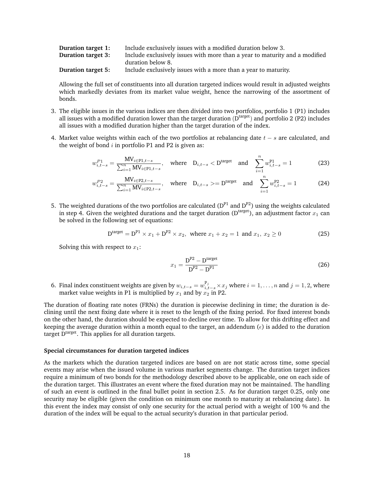| Duration target 1:        | Include exclusively issues with a modified duration below 3.                |
|---------------------------|-----------------------------------------------------------------------------|
| Duration target 3:        | Include exclusively issues with more than a year to maturity and a modified |
|                           | duration below 8.                                                           |
| <b>Duration target 5:</b> | Include exclusively issues with a more than a year to maturity.             |

Allowing the full set of constituents into all duration targeted indices would result in adjusted weights which markedly deviates from its market value weight, hence the narrowing of the assortment of bonds.

- 3. The eligible issues in the various indices are then divided into two portfolios, portfolio 1 (P1) includes all issues with a modified duration lower than the target duration ( $\bar{D}^{\text{target}}$ ) and portfolio 2 (P2) includes all issues with a modified duration higher than the target duration of the index.
- 4. Market value weights within each of the two portfolios at rebalancing date  $t s$  are calculated, and the weight of bond  $i$  in portfolio P1 and P2 is given as:

$$
w_{i,t-s}^{P1} = \frac{MV_{i\in P1,t-s}}{\sum_{i=1}^{n} MV_{i\in P1,t-s}}, \text{ where } D_{i,t-s} < D^{\text{target}} \text{ and } \sum_{i=1}^{n} w_{i,t-s}^{P1} = 1
$$
 (23)

$$
w_{i,t-s}^{P2} = \frac{MV_{i\in P2,t-s}}{\sum_{i=1}^{n} MV_{i\in P2,t-s}}, \text{ where } D_{i,t-s} > D^{\text{target}} \text{ and } \sum_{i=1}^{n} w_{i,t-s}^{P2} = 1
$$
 (24)

5. The weighted durations of the two portfolios are calculated ( $D^{P1}$  and  $D^{P2}$ ) using the weights calculated in step 4. Given the weighted durations and the target duration ( $D^{target}$ ), an adjustment factor  $x_1$  can be solved in the following set of equations:

$$
Dtarget = DP1 \times x_1 + DP2 \times x_2, where x_1 + x_2 = 1 and x_1, x_2 \ge 0
$$
 (25)

Solving this with respect to  $x_1$ :

$$
x_1 = \frac{D^{P2} - D^{\text{target}}}{D^{P2} - D^{P1}} \tag{26}
$$

6. Final index constituent weights are given by  $w_{i,t-s} = w_{i,t-s}^{p_j} \times x_j$  where  $i = 1, \dots, n$  and  $j = 1, 2$ , where market value weights in P1 is multiplied by  $x_1$  and by  $x_2$  in P2.

The duration of floating rate notes (FRNs) the duration is piecewise declining in time; the duration is declining until the next fixing date where it is reset to the length of the fixing period. For fixed interest bonds on the other hand, the duration should be expected to decline over time. To allow for this drifting effect and keeping the average duration within a month equal to the target, an addendum  $(\epsilon)$  is added to the duration target  $D<sup>target</sup>$ . This applies for all duration targets.

#### **Special circumstances for duration targeted indices**

As the markets which the duration targeted indices are based on are not static across time, some special events may arise when the issued volume in various market segments change. The duration target indices require a minimum of two bonds for the methodology described above to be applicable, one on each side of the duration target. This illustrates an event where the fixed duration may not be maintained. The handling of such an event is outlined in the final bullet point in section [2.5.](#page-8-3) As for duration target 0.25, only one security may be eligible (given the condition on minimum one month to maturity at rebalancing date). In this event the index may consist of only one security for the actual period with a weight of 100 % and the duration of the index will be equal to the actual security's duration in that particular period.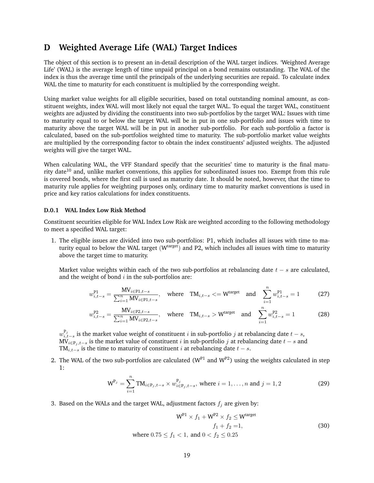# <span id="page-19-0"></span>**D Weighted Average Life (WAL) Target Indices**

The object of this section is to present an in-detail description of the WAL target indices. 'Weighted Average Life' (WAL) is the average length of time unpaid principal on a bond remains outstanding. The WAL of the index is thus the average time until the principals of the underlying securities are repaid. To calculate index WAL the time to maturity for each constituent is multiplied by the corresponding weight.

Using market value weights for all eligible securities, based on total outstanding nominal amount, as constituent weights, index WAL will most likely not equal the target WAL. To equal the target WAL, constituent weights are adjusted by dividing the constituents into two sub-portfolios by the target WAL: Issues with time to maturity equal to or below the target WAL will be in put in one sub-portfolio and issues with time to maturity above the target WAL will be in put in another sub-portfolio. For each sub-portfolio a factor is calculated, based on the sub-portfolios weighted time to maturity. The sub-portfolio market value weights are multiplied by the corresponding factor to obtain the index constituents' adjusted weights. The adjusted weights will give the target WAL.

When calculating WAL, the VFF Standard specify that the securities' time to maturity is the final maturity date<sup>10</sup> and, unlike market conventions, this applies for subordinated issues too. Exempt from this rule is covered bonds, where the first call is used as maturity date. It should be noted, however, that the time to maturity rule applies for weighting purposes only, ordinary time to maturity market conventions is used in price and key ratios calculations for index constituents.

#### **D.0.1 WAL Index Low Risk Method**

Constituent securities eligible for WAL Index Low Risk are weighted according to the following methodology to meet a specified WAL target:

1. The eligible issues are divided into two sub-portfolios: P1, which includes all issues with time to maturity equal to below the WAL target  $(W<sup>target</sup>)$  and P2, which includes all issues with time to maturity above the target time to maturity.

Market value weights within each of the two sub-portfolios at rebalancing date  $t - s$  are calculated, and the weight of bond  $i$  in the sub-portfolios are:

$$
w_{i,t-s}^{\text{PI}} = \frac{\text{MV}_{i \in \text{PI}, t-s}}{\sum_{i=1}^{n} \text{MV}_{i \in \text{PI}, t-s}}, \quad \text{where} \quad \text{TM}_{i,t-s} <= \text{W}^{\text{target}} \quad \text{and} \quad \sum_{i=1}^{n} w_{i,t-s}^{\text{PI}} = 1 \tag{27}
$$

$$
w_{i,t-s}^{\text{P2}} = \frac{\text{MV}_{i \in \text{P2}, t-s}}{\sum_{i=1}^{n} \text{MV}_{i \in \text{P2}, t-s}}, \quad \text{where} \quad \text{TM}_{i,t-s} > \text{W}^{\text{target}} \quad \text{and} \quad \sum_{i=1}^{n} w_{i,t-s}^{\text{P2}} = 1 \tag{28}
$$

 $w_{i,t-s}^{\text{P}_j}$  is the market value weight of constituent  $i$  in sub-portfolio  $j$  at rebalancing date  $t-s$ ,  $\overline{MV}_{i\in P_i,t-s}$  is the market value of constituent *i* in sub-portfolio *j* at rebalancing date  $t - s$  and TM<sub>i,t−s</sub> is the time to maturity of constituent *i* at rebalancing date  $t - s$ .

2. The WAL of the two sub-portfolios are calculated ( $W^{P1}$  and  $W^{P2}$ ) using the weights calculated in step 1:

$$
W^{P_j} = \sum_{i=1}^{n} TM_{i \in P_j, t-s} \times w_{i \in P_j, t-s}^{P_j}, \text{ where } i = 1, ..., n \text{ and } j = 1, 2
$$
 (29)

3. Based on the WALs and the target WAL, adjustment factors  $f_j$  are given by:

<span id="page-19-4"></span><span id="page-19-3"></span><span id="page-19-2"></span><span id="page-19-1"></span>
$$
W^{P1} \times f_1 + W^{P2} \times f_2 \le W^{\text{target}}
$$
  
\n
$$
f_1 + f_2 = 1,
$$
  
\nwhere  $0.75 \le f_1 < 1$ , and  $0 < f_2 \le 0.25$  (30)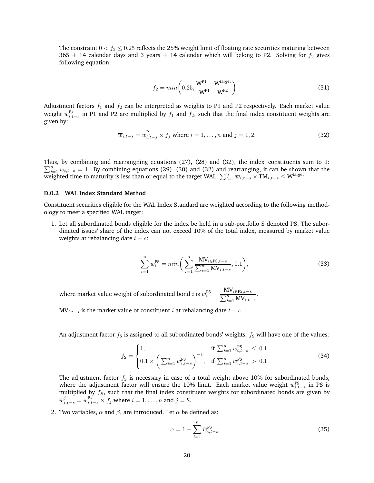The constraint  $0 < f_2 \leq 0.25$  reflects the 25% weight limit of floating rate securities maturing between 365 + 14 calendar days and 3 years + 14 calendar which will belong to P2. Solving for  $f_2$  gives following equation:

<span id="page-20-0"></span>
$$
f_2 = min\left(0.25, \frac{W^{PI} - W^{target}}{W^{PI} - W^{P2}}\right)
$$
\n(31)

Adjustment factors  $f_1$  and  $f_2$  can be interpreted as weights to P1 and P2 respectively. Each market value weight  $w_{i,t-s}^{\mathbf{p}_j}$  in P1 and P2 are multiplied by  $f_1$  and  $f_2$ , such that the final index constituent weights are given by:

$$
\overline{w}_{i,t-s} = w_{i,t-s}^{\mathbf{P}_j} \times f_j \text{ where } i = 1, \dots, n \text{ and } j = 1, 2.
$$
 (32)

Thus, by combining and rearrangning equations ( [27\)](#page-19-1), [\(28\)](#page-19-2) and [\(32\)](#page-20-0), the index' constituents sum to 1:  $\sum_{i=1}^{n} \overline{w}_{i,t-s} = 1$ . By combining equations [\(29\)](#page-19-3), [\(30\)](#page-19-4) and [\(32\)](#page-20-0) and rearranging, it can be shown that the weighted time to maturity is less than or equal to the target WAL:  $\sum_{i=1}^{n} \overline{w}_{i,t-s} \times \text{TM}_{i,t-s} \leq W^{\text{target}}$ .

#### **D.0.2 WAL Index Standard Method**

Constituent securities eligible for the WAL Index Standard are weighted according to the following methodology to meet a specified WAL target:

1. Let all subordinated bonds eligible for the index be held in a sub-portfolio S denoted PS. The subordinated issues' share of the index can not exceed 10% of the total index, measured by market value weights at rebalancing date  $t - s$ :

$$
\sum_{i=1}^{n} w_i^{\text{PS}} = \min\bigg(\sum_{i=1}^{n} \frac{\text{MV}_{i \in \text{PS}, t-s}}{\sum_{i=1}^{n} \text{MV}_{i,t-s}}, 0.1\bigg),\tag{33}
$$

where market value weight of subordinated bond *i* is  $w_i^{PS} = \frac{MV_{i\in PS, t-s}}{\sum_{i=1}^{n} MV_{i,t-s}}$ .

 $MV_{i,t-s}$  is the market value of constituent *i* at rebalancing date  $t - s$ .

An adjustment factor  $f_s$  is assigned to all subordinated bonds' weights.  $f_s$  will have one of the values:

$$
f_{\rm S} = \begin{cases} 1, & \text{if } \sum_{i=1}^{n} w_{i,t-s}^{\rm PS} \leq 0.1 \\ 0.1 \times \left( \sum_{i=1}^{n} w_{i,t-s}^{\rm PS} \right)^{-1}, & \text{if } \sum_{i=1}^{n} w_{i,t-s}^{\rm PS} > 0.1 \end{cases}
$$
(34)

The adjustment factor  $f_s$  is necessary in case of a total weight above 10% for subordinated bonds, where the adjustment factor will ensure the 10% limit. Each market value weight  $w_{i,t-s}^{\text{PS}}$  in PS is multiplied by  $f_S$ , such that the final index constituent weights for subordinated bonds are given by  $\overline{w}_{i,t-s}^j = w_{i,t-s}^{\mathbf{p}_j} \times f_j$  where  $i = 1, \ldots, n$  and  $j = \mathbf{S}$ .

2. Two variables,  $\alpha$  and  $\beta$ , are introduced. Let  $\alpha$  be defined as:

<span id="page-20-1"></span>
$$
\alpha = 1 - \sum_{i=1}^{n} \overline{w}_{i,t-s}^{\text{PS}} \tag{35}
$$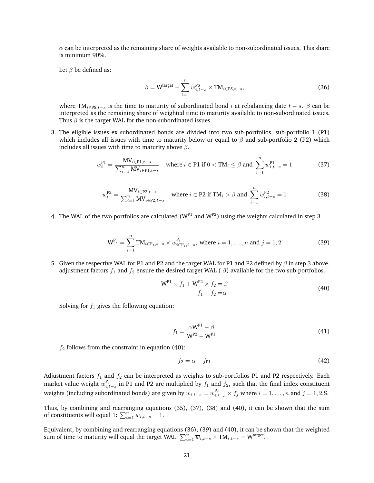$\alpha$  can be interpreted as the remaining share of weights available to non-subordinated issues. This share is minimum 90%.

Let  $\beta$  be defined as:

<span id="page-21-3"></span><span id="page-21-1"></span>
$$
\beta = \mathbf{W}^{\text{target}} - \sum_{i=1}^{n} \overline{w}_{i,t-s}^{\text{PS}} \times \text{TM}_{i \in \text{PS}, t-s}, \tag{36}
$$

where TM<sub>i∈PS,t-s</sub> is the time to maturity of subordinated bond *i* at rebalancing date  $t - s$ .  $\beta$  can be interpreted as the remaining share of weighted time to maturity available to non-subordinated issues. Thus  $\beta$  is the target WAL for the non-subordinated issues.

3. The eligible issues ex subordinated bonds are divided into two sub-portfolios, sub-portfolio 1 (P1) which includes all issues with time to maturity below or equal to  $\beta$  and sub-portfolio 2 (P2) which includes all issues with time to maturity above  $\beta$ .

$$
w_i^{\text{PI}} = \frac{\text{MV}_{i \in \text{PI}, t-s}}{\sum_{i=1}^n \text{MV}_{i \in \text{PI}, t-s}} \quad \text{where } i \in \text{PI if } 0 < \text{TM}_i \le \beta \text{ and } \sum_{i=1}^n w_{i, t-s}^{\text{PI}} = 1 \tag{37}
$$

$$
w_i^{\text{P2}} = \frac{\text{MV}_{i \in \text{P2}, t-s}}{\sum_{i=1}^n \text{MV}_{i \in \text{P2}, t-s}} \quad \text{where } i \in \text{P2 if } \text{TM}_i > \beta \text{ and } \sum_{i=1}^n w_{i,t-s}^{\text{P2}} = 1 \tag{38}
$$

4. The WAL of the two portfolios are calculated ( $W^{P1}$  and  $W^{P2}$ ) using the weights calculated in step 3.

$$
W^{P_j} = \sum_{i=1}^{n} TM_{i \in P_j, t-s} \times w^{P_j}_{i \in P_j, t-s}, \text{ where } i = 1, ..., n \text{ and } j = 1, 2
$$
 (39)

5. Given the respective WAL for P1 and P2 and the target WAL for P1 and P2 defined by  $\beta$  in step 3 above, adjustment factors  $f_1$  and  $f_2$  ensure the desired target WAL ( $\beta$ ) available for the two sub-portfolios.

<span id="page-21-4"></span><span id="page-21-2"></span>
$$
W^{P1} \times f_1 + W^{P2} \times f_2 = \beta
$$
  

$$
f_1 + f_2 = \alpha
$$
 (40)

Solving for  $f_1$  gives the following equation:

<span id="page-21-0"></span>
$$
f_1 = \frac{\alpha W^{p_1} - \beta}{W^{p_2} - W^{p_1}}
$$
(41)

 $f<sub>2</sub>$  follows from the constraint in equation [\(40\)](#page-21-0):

$$
f_2 = \alpha - f_{\text{Pl}} \tag{42}
$$

Adjustment factors  $f_1$  and  $f_2$  can be interpreted as weights to sub-portfolios P1 and P2 respectively. Each market value weight  $w_{i,t-s}^{p_j}$  in P1 and P2 are multiplied by  $f_1$  and  $f_2$ , such that the final index constituent weights (including subordinated bonds) are given by  $\overline{w}_{i,t-s} = w_{i,t-s}^{p_j} \times f_j$  where  $i = 1,\ldots,n$  and  $j = 1,2,8$ .

Thus, by combining and rearranging equations [\(35\)](#page-20-1), [\(37\)](#page-21-1), [\(38\)](#page-21-2) and [\(40\)](#page-21-0), it can be shown that the sum of constituents will equal 1:  $\sum_{i=1}^{n} \overline{w}_{i,t-s} = 1$ .

Equivalent, by combining and rearranging equations [\(36\)](#page-21-3), [\(39\)](#page-21-4) and [\(40\)](#page-21-0), it can be shown that the weighted sum of time to maturity will equal the target WAL:  $\sum_{i=1}^{n} \overline{w}_{i,t-s} \times \text{TM}_{i,t-s} = \text{W}^{\text{target}}$ .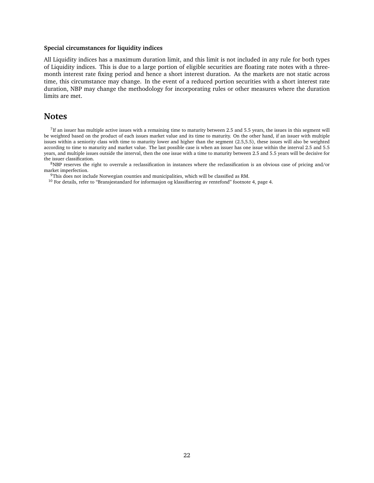#### **Special circumstances for liquidity indices**

All Liquidity indices has a maximum duration limit, and this limit is not included in any rule for both types of Liquidity indices. This is due to a large portion of eligible securities are floating rate notes with a threemonth interest rate fixing period and hence a short interest duration. As the markets are not static across time, this circumstance may change. In the event of a reduced portion securities with a short interest rate duration, NBP may change the methodology for incorporating rules or other measures where the duration limits are met.

# **Notes**

 $^{7}$ If an issuer has multiple active issues with a remaining time to maturity between 2.5 and 5.5 years, the issues in this segment will be weighted based on the product of each issues market value and its time to maturity. On the other hand, if an issuer with multiple issues within a seniority class with time to maturity lower and higher than the segment (2.5,5.5), these issues will also be weighted according to time to maturity and market value. The last possible case is when an issuer has one issue within the interval 2.5 and 5.5 years, and multiple issues outside the interval, then the one issue with a time to maturity between 2.5 and 5.5 years will be decisive for the issuer classification.

<sup>8</sup>NBP reserves the right to overrule a reclassification in instances where the reclassification is an obvious case of pricing and/or market imperfection.

<sup>9</sup>This does not include Norwegian counties and municipalities, which will be classified as RM.

<sup>10</sup> For details, refer to "Bransjestandard for informasjon og klassifisering av rentefond" footnote 4, page 4.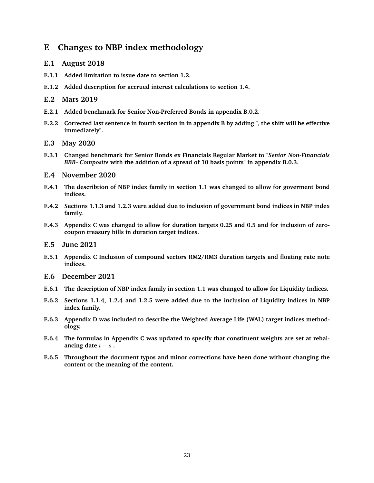# <span id="page-23-0"></span>**E Changes to NBP index methodology**

# <span id="page-23-1"></span>**E.1 August 2018**

- **E.1.1 Added limitation to issue date to section [1.2.](#page-4-0)**
- **E.1.2 Added description for accrued interest calculations to section [1.4.](#page-6-1)**

# <span id="page-23-2"></span>**E.2 Mars 2019**

- **E.2.1 Added benchmark for Senior Non-Preferred Bonds in appendix [B.0.2.](#page-16-1)**
- **E.2.2 Corrected last sentence in fourth section in in appendix [B](#page-15-2) by adding ", the shift will be effective immediately".**

# <span id="page-23-3"></span>**E.3 May 2020**

**E.3.1 Changed benchmark for Senior Bonds ex Financials Regular Market to "***Senior Non-Financials BBB- Composite* **with the addition of a spread of 10 basis points" in appendix [B.0.3.](#page-16-2)**

# <span id="page-23-4"></span>**E.4 November 2020**

- **E.4.1 The describtion of NBP index family in section [1.1](#page-2-1) was changed to allow for goverment bond indices.**
- **E.4.2 Sections [1.1.3](#page-3-0) and [1.2.3](#page-5-0) were added due to inclusion of government bond indices in NBP index family.**
- **E.4.3 Appendix [C](#page-16-0) was changed to allow for duration targets 0.25 and 0.5 and for inclusion of zerocoupon treasury bills in duration target indices.**

## <span id="page-23-5"></span>**E.5 June 2021**

**E.5.1 Appendix [C](#page-16-0) Inclusion of compound sectors RM2/RM3 duration targets and floating rate note indices.**

# <span id="page-23-6"></span>**E.6 December 2021**

- **E.6.1 The description of NBP index family in section [1.1](#page-2-1) was changed to allow for Liquidity Indices.**
- **E.6.2 Sections [1.1.4,](#page-4-1) [1.2.4](#page-5-1) and [1.2.5](#page-6-4) were added due to the inclusion of Liquidity indices in NBP index family.**
- **E.6.3 Appendix [D](#page-19-0) was included to describe the Weighted Average Life (WAL) target indices methodology.**
- **E.6.4 The formulas in Appendix [C](#page-16-0) was updated to specify that constituent weights are set at rebal**ancing date  $t - s$ .
- **E.6.5 Throughout the document typos and minor corrections have been done without changing the content or the meaning of the content.**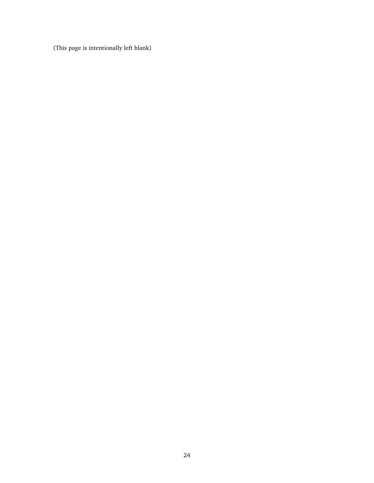(This page is intentionally left blank)